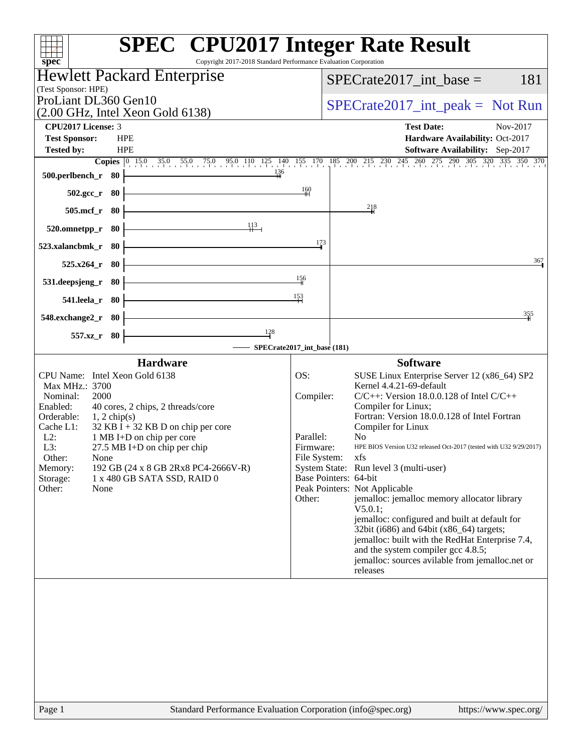| Copyright 2017-2018 Standard Performance Evaluation Corporation<br>$spec^*$                     | <b>SPEC<sup>®</sup></b> CPU2017 Integer Rate Result                                                 |
|-------------------------------------------------------------------------------------------------|-----------------------------------------------------------------------------------------------------|
| <b>Hewlett Packard Enterprise</b>                                                               | $SPECrate2017\_int\_base =$<br>181                                                                  |
| (Test Sponsor: HPE)                                                                             |                                                                                                     |
| ProLiant DL360 Gen10<br>$(2.00 \text{ GHz}, \text{Intel Xeon Gold } 6138)$                      | $SPECrate2017\_int\_peak = Not Run$                                                                 |
| <b>CPU2017 License: 3</b>                                                                       | <b>Test Date:</b><br>Nov-2017                                                                       |
| <b>Test Sponsor:</b><br><b>HPE</b>                                                              | Hardware Availability: Oct-2017                                                                     |
| <b>HPE</b><br><b>Tested by:</b><br><b>Copies</b> 0 15.0 35.0 55.0 75.0 95.0 110 125 140 155 170 | Software Availability: Sep-2017<br>185 200 215 230 245 260 275 290 305 320 335 350 370              |
| 136<br>500.perlbench_r 80                                                                       |                                                                                                     |
| - 80<br>$502.\mathrm{gcc}$ <sub>r</sub>                                                         | 160                                                                                                 |
| $505$ .mcf_r<br>80                                                                              | $\frac{218}{4}$                                                                                     |
| 113<br>520.omnetpp_r<br>80                                                                      |                                                                                                     |
| 523.xalancbmk_r<br>80                                                                           | 173                                                                                                 |
| 525.x264<br>- 80                                                                                | 367                                                                                                 |
| 531.deepsjeng_r<br>-80                                                                          | $\frac{156}{1}$                                                                                     |
| 541.leela_r 80                                                                                  | 153                                                                                                 |
| 548.exchange2_r 80                                                                              | 355                                                                                                 |
| 128<br>557.xz_r 80                                                                              |                                                                                                     |
|                                                                                                 | SPECrate2017_int_base (181)                                                                         |
| <b>Hardware</b>                                                                                 | <b>Software</b>                                                                                     |
| CPU Name: Intel Xeon Gold 6138<br>Max MHz.: 3700                                                | OS:<br>SUSE Linux Enterprise Server 12 (x86_64) SP2<br>Kernel 4.4.21-69-default                     |
| Nominal:<br>2000                                                                                | Compiler:<br>$C/C++$ : Version 18.0.0.128 of Intel $C/C++$                                          |
| Enabled:<br>40 cores, 2 chips, 2 threads/core                                                   | Compiler for Linux;                                                                                 |
| Orderable:<br>$1, 2$ chip(s)<br>Cache L1:<br>$32$ KB I + 32 KB D on chip per core               | Fortran: Version 18.0.0.128 of Intel Fortran<br>Compiler for Linux                                  |
| $L2$ :<br>1 MB I+D on chip per core                                                             | Parallel:<br>N <sub>0</sub>                                                                         |
| L3:<br>27.5 MB I+D on chip per chip<br>Other:<br>None                                           | HPE BIOS Version U32 released Oct-2017 (tested with U32 9/29/2017)<br>Firmware:<br>File System: xfs |
| 192 GB (24 x 8 GB 2Rx8 PC4-2666V-R)<br>Memory:                                                  | System State: Run level 3 (multi-user)                                                              |
| Storage:<br>1 x 480 GB SATA SSD, RAID 0                                                         | Base Pointers: 64-bit                                                                               |
| Other:<br>None                                                                                  | Peak Pointers: Not Applicable<br>jemalloc: jemalloc memory allocator library<br>Other:              |
|                                                                                                 | $V5.0.1$ ;                                                                                          |
|                                                                                                 | jemalloc: configured and built at default for<br>32bit (i686) and 64bit (x86_64) targets;           |
|                                                                                                 | jemalloc: built with the RedHat Enterprise 7.4,                                                     |
|                                                                                                 | and the system compiler gcc 4.8.5;<br>jemalloc: sources avilable from jemalloc.net or               |
|                                                                                                 | releases                                                                                            |
|                                                                                                 |                                                                                                     |
|                                                                                                 |                                                                                                     |
|                                                                                                 |                                                                                                     |
|                                                                                                 |                                                                                                     |
|                                                                                                 |                                                                                                     |
|                                                                                                 |                                                                                                     |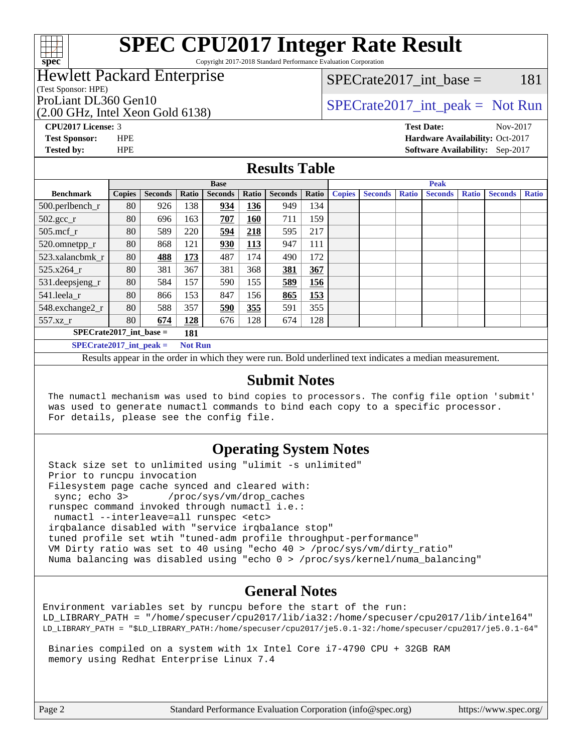

# **[SPEC CPU2017 Integer Rate Result](http://www.spec.org/auto/cpu2017/Docs/result-fields.html#SPECCPU2017IntegerRateResult)**

Copyright 2017-2018 Standard Performance Evaluation Corporation

## Hewlett Packard Enterprise

(Test Sponsor: HPE)

(2.00 GHz, Intel Xeon Gold 6138)

 $SPECTate2017\_int\_base = 181$ 

## ProLiant DL360 Gen10  $SPECTR_{128}$  [SPECrate2017\\_int\\_peak =](http://www.spec.org/auto/cpu2017/Docs/result-fields.html#SPECrate2017intpeak) Not Run

**[CPU2017 License:](http://www.spec.org/auto/cpu2017/Docs/result-fields.html#CPU2017License)** 3 **[Test Date:](http://www.spec.org/auto/cpu2017/Docs/result-fields.html#TestDate)** Nov-2017

**[Test Sponsor:](http://www.spec.org/auto/cpu2017/Docs/result-fields.html#TestSponsor)** HPE **[Hardware Availability:](http://www.spec.org/auto/cpu2017/Docs/result-fields.html#HardwareAvailability)** Oct-2017 **[Tested by:](http://www.spec.org/auto/cpu2017/Docs/result-fields.html#Testedby)** HPE **[Software Availability:](http://www.spec.org/auto/cpu2017/Docs/result-fields.html#SoftwareAvailability)** Sep-2017

#### **[Results Table](http://www.spec.org/auto/cpu2017/Docs/result-fields.html#ResultsTable)**

|                                               | <b>Base</b>   |                |       |                |            | <b>Peak</b>    |       |               |                |              |                |              |                |              |
|-----------------------------------------------|---------------|----------------|-------|----------------|------------|----------------|-------|---------------|----------------|--------------|----------------|--------------|----------------|--------------|
| <b>Benchmark</b>                              | <b>Copies</b> | <b>Seconds</b> | Ratio | <b>Seconds</b> | Ratio      | <b>Seconds</b> | Ratio | <b>Copies</b> | <b>Seconds</b> | <b>Ratio</b> | <b>Seconds</b> | <b>Ratio</b> | <b>Seconds</b> | <b>Ratio</b> |
| 500.perlbench_r                               | 80            | 926            | 138   | 934            | 136        | 949            | 134   |               |                |              |                |              |                |              |
| $502.\text{gcc}_r$                            | 80            | 696            | 163   | 707            | 160        | 711            | 159   |               |                |              |                |              |                |              |
| $505$ .mcf r                                  | 80            | 589            | 220   | 594            | 218        | 595            | 217   |               |                |              |                |              |                |              |
| 520.omnetpp_r                                 | 80            | 868            | 121   | 930            | <b>113</b> | 947            | 111   |               |                |              |                |              |                |              |
| 523.xalancbmk r                               | 80            | 488            | 173   | 487            | 174        | 490            | 172   |               |                |              |                |              |                |              |
| $525.x264$ r                                  | 80            | 381            | 367   | 381            | 368        | 381            | 367   |               |                |              |                |              |                |              |
| 531.deepsjeng_r                               | 80            | 584            | 157   | 590            | 155        | 589            | 156   |               |                |              |                |              |                |              |
| 541.leela r                                   | 80            | 866            | 153   | 847            | 156        | 865            | 153   |               |                |              |                |              |                |              |
| 548.exchange2_r                               | 80            | 588            | 357   | 590            | 355        | 591            | 355   |               |                |              |                |              |                |              |
| 557.xz r                                      | 80            | 674            | 128   | 676            | 128        | 674            | 128   |               |                |              |                |              |                |              |
| $SPECrate2017$ int base =<br>181              |               |                |       |                |            |                |       |               |                |              |                |              |                |              |
| $SPECrate2017\_int\_peak =$<br><b>Not Run</b> |               |                |       |                |            |                |       |               |                |              |                |              |                |              |

Results appear in the [order in which they were run](http://www.spec.org/auto/cpu2017/Docs/result-fields.html#RunOrder). Bold underlined text [indicates a median measurement](http://www.spec.org/auto/cpu2017/Docs/result-fields.html#Median).

#### **[Submit Notes](http://www.spec.org/auto/cpu2017/Docs/result-fields.html#SubmitNotes)**

 The numactl mechanism was used to bind copies to processors. The config file option 'submit' was used to generate numactl commands to bind each copy to a specific processor. For details, please see the config file.

### **[Operating System Notes](http://www.spec.org/auto/cpu2017/Docs/result-fields.html#OperatingSystemNotes)**

 Stack size set to unlimited using "ulimit -s unlimited" Prior to runcpu invocation Filesystem page cache synced and cleared with: sync; echo 3> /proc/sys/vm/drop\_caches runspec command invoked through numactl i.e.: numactl --interleave=all runspec <etc> irqbalance disabled with "service irqbalance stop" tuned profile set wtih "tuned-adm profile throughput-performance" VM Dirty ratio was set to 40 using "echo 40 > /proc/sys/vm/dirty\_ratio" Numa balancing was disabled using "echo 0 > /proc/sys/kernel/numa\_balancing"

### **[General Notes](http://www.spec.org/auto/cpu2017/Docs/result-fields.html#GeneralNotes)**

Environment variables set by runcpu before the start of the run: LD\_LIBRARY\_PATH = "/home/specuser/cpu2017/lib/ia32:/home/specuser/cpu2017/lib/intel64" LD\_LIBRARY\_PATH = "\$LD\_LIBRARY\_PATH:/home/specuser/cpu2017/je5.0.1-32:/home/specuser/cpu2017/je5.0.1-64"

 Binaries compiled on a system with 1x Intel Core i7-4790 CPU + 32GB RAM memory using Redhat Enterprise Linux 7.4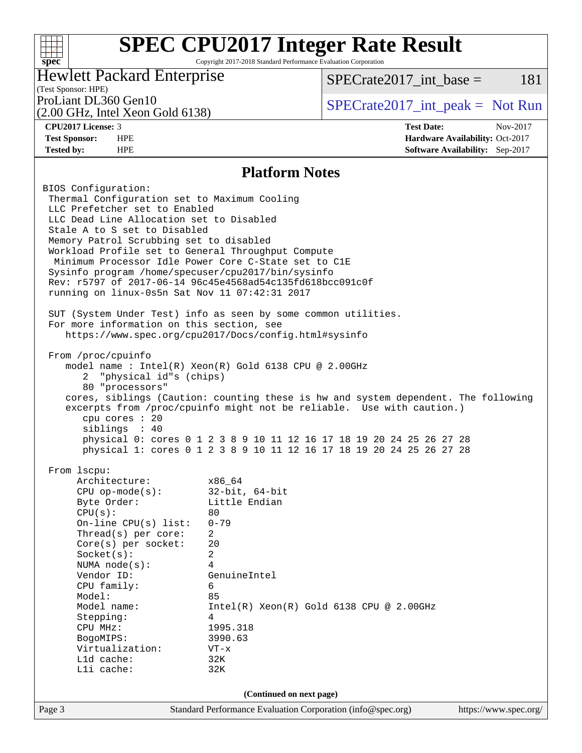#### **[SPEC CPU2017 Integer Rate Result](http://www.spec.org/auto/cpu2017/Docs/result-fields.html#SPECCPU2017IntegerRateResult)**  $+\ +$ **[spec](http://www.spec.org/)** Copyright 2017-2018 Standard Performance Evaluation Corporation Hewlett Packard Enterprise  $SPECTate2017\_int\_base = 181$ (Test Sponsor: HPE) ProLiant DL360 Gen10  $SPECTA 6146128$   $SPECTA 6146128$   $SPECTA 6146128$ (2.00 GHz, Intel Xeon Gold 6138) **[CPU2017 License:](http://www.spec.org/auto/cpu2017/Docs/result-fields.html#CPU2017License)** 3 **[Test Date:](http://www.spec.org/auto/cpu2017/Docs/result-fields.html#TestDate)** Nov-2017 **[Test Sponsor:](http://www.spec.org/auto/cpu2017/Docs/result-fields.html#TestSponsor)** HPE **[Hardware Availability:](http://www.spec.org/auto/cpu2017/Docs/result-fields.html#HardwareAvailability)** Oct-2017 **[Tested by:](http://www.spec.org/auto/cpu2017/Docs/result-fields.html#Testedby)** HPE **[Software Availability:](http://www.spec.org/auto/cpu2017/Docs/result-fields.html#SoftwareAvailability)** Sep-2017 **[Platform Notes](http://www.spec.org/auto/cpu2017/Docs/result-fields.html#PlatformNotes)** BIOS Configuration: Thermal Configuration set to Maximum Cooling LLC Prefetcher set to Enabled LLC Dead Line Allocation set to Disabled Stale A to S set to Disabled Memory Patrol Scrubbing set to disabled Workload Profile set to General Throughput Compute Minimum Processor Idle Power Core C-State set to C1E Sysinfo program /home/specuser/cpu2017/bin/sysinfo Rev: r5797 of 2017-06-14 96c45e4568ad54c135fd618bcc091c0f running on linux-0s5n Sat Nov 11 07:42:31 2017 SUT (System Under Test) info as seen by some common utilities. For more information on this section, see <https://www.spec.org/cpu2017/Docs/config.html#sysinfo> From /proc/cpuinfo model name : Intel(R) Xeon(R) Gold 6138 CPU @ 2.00GHz 2 "physical id"s (chips) 80 "processors" cores, siblings (Caution: counting these is hw and system dependent. The following excerpts from /proc/cpuinfo might not be reliable. Use with caution.) cpu cores : 20 siblings : 40 physical 0: cores 0 1 2 3 8 9 10 11 12 16 17 18 19 20 24 25 26 27 28 physical 1: cores 0 1 2 3 8 9 10 11 12 16 17 18 19 20 24 25 26 27 28 From lscpu: Architecture: x86\_64 CPU op-mode(s): 32-bit, 64-bit Byte Order: Little Endian  $CPU(s):$  80 On-line CPU(s) list: 0-79 Thread(s) per core: 2 Core(s) per socket: 20 Socket(s): 2 NUMA node(s): 4 Vendor ID: GenuineIntel CPU family: 6 Model: 85 Model name: Intel(R) Xeon(R) Gold 6138 CPU @ 2.00GHz Stepping: 4 CPU MHz: 1995.318 BogoMIPS: 3990.63 Virtualization: VT-x L1d cache: 32K L1i cache: 32K **(Continued on next page)**

Page 3 Standard Performance Evaluation Corporation [\(info@spec.org\)](mailto:info@spec.org) <https://www.spec.org/>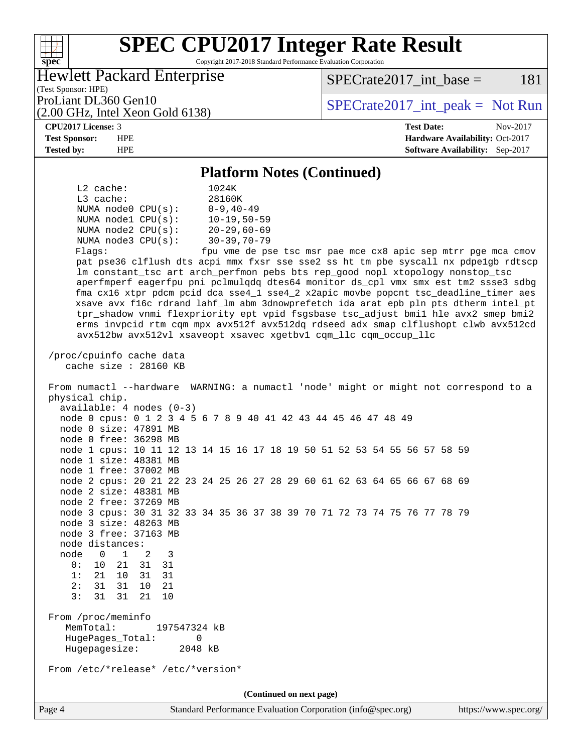# **[SPEC CPU2017 Integer Rate Result](http://www.spec.org/auto/cpu2017/Docs/result-fields.html#SPECCPU2017IntegerRateResult)**

Copyright 2017-2018 Standard Performance Evaluation Corporation

Hewlett Packard Enterprise

(2.00 GHz, Intel Xeon Gold 6138)

 $SPECTate2017\_int\_base = 181$ 

(Test Sponsor: HPE)

ProLiant DL360 Gen10  $SPECrate2017$ \_int\_peak = Not Run

**[spec](http://www.spec.org/)**

 $+\hskip -1.5pt +\hskip -1.5pt +$ 

**[CPU2017 License:](http://www.spec.org/auto/cpu2017/Docs/result-fields.html#CPU2017License)** 3 **[Test Date:](http://www.spec.org/auto/cpu2017/Docs/result-fields.html#TestDate)** Nov-2017 **[Test Sponsor:](http://www.spec.org/auto/cpu2017/Docs/result-fields.html#TestSponsor)** HPE **[Hardware Availability:](http://www.spec.org/auto/cpu2017/Docs/result-fields.html#HardwareAvailability)** Oct-2017 **[Tested by:](http://www.spec.org/auto/cpu2017/Docs/result-fields.html#Testedby)** HPE **[Software Availability:](http://www.spec.org/auto/cpu2017/Docs/result-fields.html#SoftwareAvailability)** Sep-2017

#### **[Platform Notes \(Continued\)](http://www.spec.org/auto/cpu2017/Docs/result-fields.html#PlatformNotes)**

 L2 cache: 1024K L3 cache: 28160K NUMA node0 CPU(s): 0-9,40-49 NUMA node1 CPU(s): 10-19,50-59 NUMA node2 CPU(s): 20-29,60-69 NUMA node3 CPU(s): 30-39,70-79 Flags: fpu vme de pse tsc msr pae mce cx8 apic sep mtrr pge mca cmov pat pse36 clflush dts acpi mmx fxsr sse sse2 ss ht tm pbe syscall nx pdpe1gb rdtscp lm constant\_tsc art arch\_perfmon pebs bts rep\_good nopl xtopology nonstop\_tsc aperfmperf eagerfpu pni pclmulqdq dtes64 monitor ds\_cpl vmx smx est tm2 ssse3 sdbg fma cx16 xtpr pdcm pcid dca sse4\_1 sse4\_2 x2apic movbe popcnt tsc\_deadline\_timer aes xsave avx f16c rdrand lahf\_lm abm 3dnowprefetch ida arat epb pln pts dtherm intel\_pt tpr\_shadow vnmi flexpriority ept vpid fsgsbase tsc\_adjust bmi1 hle avx2 smep bmi2 erms invpcid rtm cqm mpx avx512f avx512dq rdseed adx smap clflushopt clwb avx512cd avx512bw avx512vl xsaveopt xsavec xgetbv1 cqm\_llc cqm\_occup\_llc /proc/cpuinfo cache data cache size : 28160 KB From numactl --hardware WARNING: a numactl 'node' might or might not correspond to a physical chip. available: 4 nodes (0-3) node 0 cpus: 0 1 2 3 4 5 6 7 8 9 40 41 42 43 44 45 46 47 48 49 node 0 size: 47891 MB node 0 free: 36298 MB node 1 cpus: 10 11 12 13 14 15 16 17 18 19 50 51 52 53 54 55 56 57 58 59 node 1 size: 48381 MB node 1 free: 37002 MB node 2 cpus: 20 21 22 23 24 25 26 27 28 29 60 61 62 63 64 65 66 67 68 69 node 2 size: 48381 MB node 2 free: 37269 MB node 3 cpus: 30 31 32 33 34 35 36 37 38 39 70 71 72 73 74 75 76 77 78 79 node 3 size: 48263 MB node 3 free: 37163 MB node distances: node 0 1 2 3 0: 10 21 31 31 1: 21 10 31 31 2: 31 31 10 21 3: 31 31 21 10 From /proc/meminfo MemTotal: 197547324 kB HugePages\_Total: 0 Hugepagesize: 2048 kB From /etc/\*release\* /etc/\*version\* **(Continued on next page)**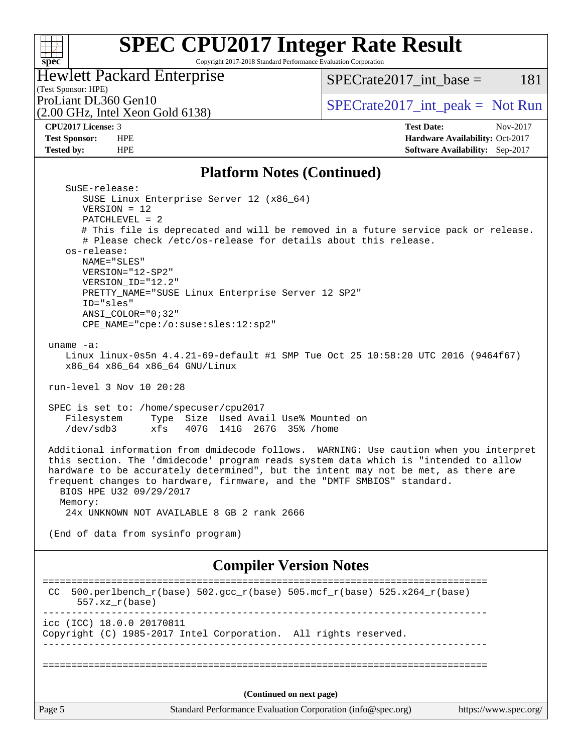### $\pm$ **[spec](http://www.spec.org/)**

# **[SPEC CPU2017 Integer Rate Result](http://www.spec.org/auto/cpu2017/Docs/result-fields.html#SPECCPU2017IntegerRateResult)**

Copyright 2017-2018 Standard Performance Evaluation Corporation

## Hewlett Packard Enterprise

 $SPECTate2017\_int\_base = 181$ 

# (Test Sponsor: HPE)<br>ProLiant DL360 Gen10

(2.00 GHz, Intel Xeon Gold 6138)

### $SPECTate2017\_int\_peak = Not Run$

**[CPU2017 License:](http://www.spec.org/auto/cpu2017/Docs/result-fields.html#CPU2017License)** 3 **[Test Date:](http://www.spec.org/auto/cpu2017/Docs/result-fields.html#TestDate)** Nov-2017 **[Test Sponsor:](http://www.spec.org/auto/cpu2017/Docs/result-fields.html#TestSponsor)** HPE **[Hardware Availability:](http://www.spec.org/auto/cpu2017/Docs/result-fields.html#HardwareAvailability)** Oct-2017 **[Tested by:](http://www.spec.org/auto/cpu2017/Docs/result-fields.html#Testedby)** HPE **[Software Availability:](http://www.spec.org/auto/cpu2017/Docs/result-fields.html#SoftwareAvailability)** Sep-2017

#### **[Platform Notes \(Continued\)](http://www.spec.org/auto/cpu2017/Docs/result-fields.html#PlatformNotes)**

| SuSE-release:                                                                                                                                                                                                                                                                                                                                                                        |                       |
|--------------------------------------------------------------------------------------------------------------------------------------------------------------------------------------------------------------------------------------------------------------------------------------------------------------------------------------------------------------------------------------|-----------------------|
| SUSE Linux Enterprise Server 12 (x86_64)                                                                                                                                                                                                                                                                                                                                             |                       |
| $VERSION = 12$                                                                                                                                                                                                                                                                                                                                                                       |                       |
| $PATCHLEVEL = 2$<br># This file is deprecated and will be removed in a future service pack or release.                                                                                                                                                                                                                                                                               |                       |
| # Please check /etc/os-release for details about this release.                                                                                                                                                                                                                                                                                                                       |                       |
| os-release:                                                                                                                                                                                                                                                                                                                                                                          |                       |
| NAME="SLES"                                                                                                                                                                                                                                                                                                                                                                          |                       |
| VERSION="12-SP2"                                                                                                                                                                                                                                                                                                                                                                     |                       |
| VERSION_ID="12.2"                                                                                                                                                                                                                                                                                                                                                                    |                       |
| PRETTY_NAME="SUSE Linux Enterprise Server 12 SP2"                                                                                                                                                                                                                                                                                                                                    |                       |
| ID="sles"                                                                                                                                                                                                                                                                                                                                                                            |                       |
| $ANSI$ _COLOR=" $0:32$ "                                                                                                                                                                                                                                                                                                                                                             |                       |
| CPE_NAME="cpe:/o:suse:sles:12:sp2"                                                                                                                                                                                                                                                                                                                                                   |                       |
|                                                                                                                                                                                                                                                                                                                                                                                      |                       |
| uname $-a$ :                                                                                                                                                                                                                                                                                                                                                                         |                       |
| Linux linux-0s5n 4.4.21-69-default #1 SMP Tue Oct 25 10:58:20 UTC 2016 (9464f67)                                                                                                                                                                                                                                                                                                     |                       |
| x86_64 x86_64 x86_64 GNU/Linux                                                                                                                                                                                                                                                                                                                                                       |                       |
| run-level 3 Nov 10 20:28                                                                                                                                                                                                                                                                                                                                                             |                       |
|                                                                                                                                                                                                                                                                                                                                                                                      |                       |
| SPEC is set to: /home/specuser/cpu2017                                                                                                                                                                                                                                                                                                                                               |                       |
| Type Size Used Avail Use% Mounted on<br>Filesystem                                                                                                                                                                                                                                                                                                                                   |                       |
| $/\text{dev/sdb3}$<br>xfs<br>407G 141G 267G 35% / home                                                                                                                                                                                                                                                                                                                               |                       |
| Additional information from dmidecode follows. WARNING: Use caution when you interpret<br>this section. The 'dmidecode' program reads system data which is "intended to allow<br>hardware to be accurately determined", but the intent may not be met, as there are<br>frequent changes to hardware, firmware, and the "DMTF SMBIOS" standard.<br>BIOS HPE U32 09/29/2017<br>Memory: |                       |
| 24x UNKNOWN NOT AVAILABLE 8 GB 2 rank 2666                                                                                                                                                                                                                                                                                                                                           |                       |
| (End of data from sysinfo program)                                                                                                                                                                                                                                                                                                                                                   |                       |
| <b>Compiler Version Notes</b>                                                                                                                                                                                                                                                                                                                                                        |                       |
|                                                                                                                                                                                                                                                                                                                                                                                      |                       |
| 500.perlbench_r(base) 502.gcc_r(base) 505.mcf_r(base) 525.x264_r(base)<br>CC.<br>$557.xx$ $r(base)$                                                                                                                                                                                                                                                                                  |                       |
| icc (ICC) 18.0.0 20170811                                                                                                                                                                                                                                                                                                                                                            |                       |
| Copyright (C) 1985-2017 Intel Corporation. All rights reserved.                                                                                                                                                                                                                                                                                                                      |                       |
|                                                                                                                                                                                                                                                                                                                                                                                      |                       |
|                                                                                                                                                                                                                                                                                                                                                                                      |                       |
| (Continued on next page)                                                                                                                                                                                                                                                                                                                                                             |                       |
|                                                                                                                                                                                                                                                                                                                                                                                      |                       |
| Standard Performance Evaluation Corporation (info@spec.org)<br>Page 5                                                                                                                                                                                                                                                                                                                | https://www.spec.org/ |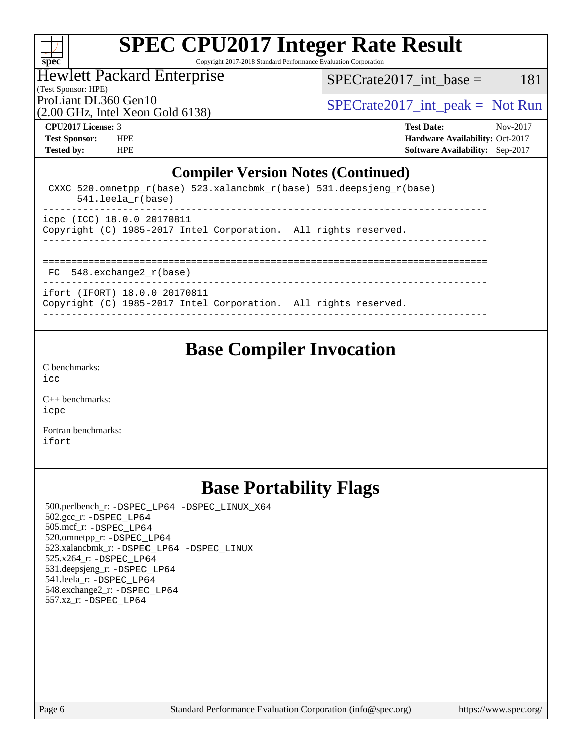

# **[SPEC CPU2017 Integer Rate Result](http://www.spec.org/auto/cpu2017/Docs/result-fields.html#SPECCPU2017IntegerRateResult)**

Copyright 2017-2018 Standard Performance Evaluation Corporation

## Hewlett Packard Enterprise

(Test Sponsor: HPE)

 $SPECTate2017\_int\_base = 181$ 

(2.00 GHz, Intel Xeon Gold 6138)

ProLiant DL360 Gen10  $SPECTR_{129}$  [SPECrate2017\\_int\\_peak =](http://www.spec.org/auto/cpu2017/Docs/result-fields.html#SPECrate2017intpeak) Not Run

**[CPU2017 License:](http://www.spec.org/auto/cpu2017/Docs/result-fields.html#CPU2017License)** 3 **[Test Date:](http://www.spec.org/auto/cpu2017/Docs/result-fields.html#TestDate)** Nov-2017 **[Test Sponsor:](http://www.spec.org/auto/cpu2017/Docs/result-fields.html#TestSponsor)** HPE **[Hardware Availability:](http://www.spec.org/auto/cpu2017/Docs/result-fields.html#HardwareAvailability)** Oct-2017 **[Tested by:](http://www.spec.org/auto/cpu2017/Docs/result-fields.html#Testedby)** HPE **[Software Availability:](http://www.spec.org/auto/cpu2017/Docs/result-fields.html#SoftwareAvailability)** Sep-2017

#### **[Compiler Version Notes \(Continued\)](http://www.spec.org/auto/cpu2017/Docs/result-fields.html#CompilerVersionNotes)**

| CXXC 520.omnetpp_r(base) 523.xalancbmk_r(base) 531.deepsjeng_r(base)<br>$541.$ leela r(base)     |  |
|--------------------------------------------------------------------------------------------------|--|
| icpc (ICC) 18.0.0 20170811<br>Copyright (C) 1985-2017 Intel Corporation. All rights reserved.    |  |
| FC 548. exchange2 r(base)                                                                        |  |
| ifort (IFORT) 18.0.0 20170811<br>Copyright (C) 1985-2017 Intel Corporation. All rights reserved. |  |

## **[Base Compiler Invocation](http://www.spec.org/auto/cpu2017/Docs/result-fields.html#BaseCompilerInvocation)**

[C benchmarks](http://www.spec.org/auto/cpu2017/Docs/result-fields.html#Cbenchmarks): [icc](http://www.spec.org/cpu2017/results/res2017q4/cpu2017-20171114-00792.flags.html#user_CCbase_intel_icc_18.0_66fc1ee009f7361af1fbd72ca7dcefbb700085f36577c54f309893dd4ec40d12360134090235512931783d35fd58c0460139e722d5067c5574d8eaf2b3e37e92)

[C++ benchmarks:](http://www.spec.org/auto/cpu2017/Docs/result-fields.html#CXXbenchmarks) [icpc](http://www.spec.org/cpu2017/results/res2017q4/cpu2017-20171114-00792.flags.html#user_CXXbase_intel_icpc_18.0_c510b6838c7f56d33e37e94d029a35b4a7bccf4766a728ee175e80a419847e808290a9b78be685c44ab727ea267ec2f070ec5dc83b407c0218cded6866a35d07)

[Fortran benchmarks](http://www.spec.org/auto/cpu2017/Docs/result-fields.html#Fortranbenchmarks): [ifort](http://www.spec.org/cpu2017/results/res2017q4/cpu2017-20171114-00792.flags.html#user_FCbase_intel_ifort_18.0_8111460550e3ca792625aed983ce982f94888b8b503583aa7ba2b8303487b4d8a21a13e7191a45c5fd58ff318f48f9492884d4413fa793fd88dd292cad7027ca)

# **[Base Portability Flags](http://www.spec.org/auto/cpu2017/Docs/result-fields.html#BasePortabilityFlags)**

 500.perlbench\_r: [-DSPEC\\_LP64](http://www.spec.org/cpu2017/results/res2017q4/cpu2017-20171114-00792.flags.html#b500.perlbench_r_basePORTABILITY_DSPEC_LP64) [-DSPEC\\_LINUX\\_X64](http://www.spec.org/cpu2017/results/res2017q4/cpu2017-20171114-00792.flags.html#b500.perlbench_r_baseCPORTABILITY_DSPEC_LINUX_X64) 502.gcc\_r: [-DSPEC\\_LP64](http://www.spec.org/cpu2017/results/res2017q4/cpu2017-20171114-00792.flags.html#suite_basePORTABILITY502_gcc_r_DSPEC_LP64) 505.mcf\_r: [-DSPEC\\_LP64](http://www.spec.org/cpu2017/results/res2017q4/cpu2017-20171114-00792.flags.html#suite_basePORTABILITY505_mcf_r_DSPEC_LP64) 520.omnetpp\_r: [-DSPEC\\_LP64](http://www.spec.org/cpu2017/results/res2017q4/cpu2017-20171114-00792.flags.html#suite_basePORTABILITY520_omnetpp_r_DSPEC_LP64) 523.xalancbmk\_r: [-DSPEC\\_LP64](http://www.spec.org/cpu2017/results/res2017q4/cpu2017-20171114-00792.flags.html#suite_basePORTABILITY523_xalancbmk_r_DSPEC_LP64) [-DSPEC\\_LINUX](http://www.spec.org/cpu2017/results/res2017q4/cpu2017-20171114-00792.flags.html#b523.xalancbmk_r_baseCXXPORTABILITY_DSPEC_LINUX) 525.x264\_r: [-DSPEC\\_LP64](http://www.spec.org/cpu2017/results/res2017q4/cpu2017-20171114-00792.flags.html#suite_basePORTABILITY525_x264_r_DSPEC_LP64) 531.deepsjeng\_r: [-DSPEC\\_LP64](http://www.spec.org/cpu2017/results/res2017q4/cpu2017-20171114-00792.flags.html#suite_basePORTABILITY531_deepsjeng_r_DSPEC_LP64) 541.leela\_r: [-DSPEC\\_LP64](http://www.spec.org/cpu2017/results/res2017q4/cpu2017-20171114-00792.flags.html#suite_basePORTABILITY541_leela_r_DSPEC_LP64) 548.exchange2\_r: [-DSPEC\\_LP64](http://www.spec.org/cpu2017/results/res2017q4/cpu2017-20171114-00792.flags.html#suite_basePORTABILITY548_exchange2_r_DSPEC_LP64) 557.xz\_r: [-DSPEC\\_LP64](http://www.spec.org/cpu2017/results/res2017q4/cpu2017-20171114-00792.flags.html#suite_basePORTABILITY557_xz_r_DSPEC_LP64)